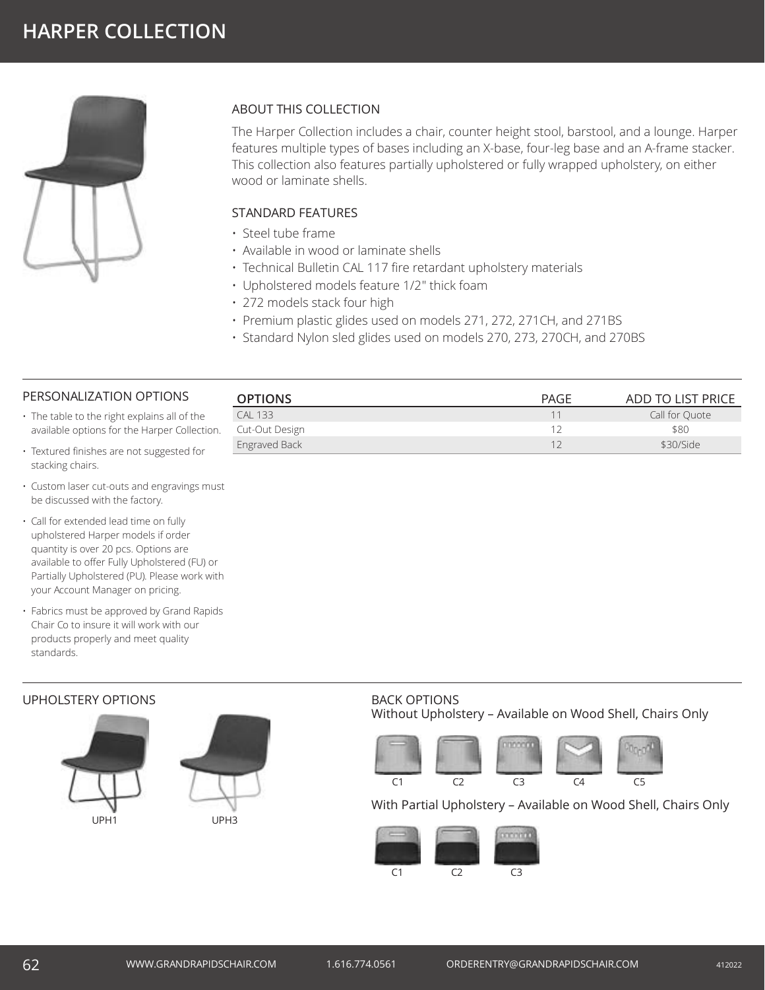

# ABOUT THIS COLLECTION

The Harper Collection includes a chair, counter height stool, barstool, and a lounge. Harper features multiple types of bases including an X-base, four-leg base and an A-frame stacker. This collection also features partially upholstered or fully wrapped upholstery, on either wood or laminate shells.

### STANDARD FEATURES

- Steel tube frame
- Available in wood or laminate shells
- Technical Bulletin CAL 117 fire retardant upholstery materials
- Upholstered models feature 1/2" thick foam
- 272 models stack four high
- Premium plastic glides used on models 271, 272, 271CH, and 271BS
- Standard Nylon sled glides used on models 270, 273, 270CH, and 270BS

#### PERSONALIZATION OPTIONS

- The table to the right explains all of the available options for the Harper Collection.
- Textured finishes are not suggested for stacking chairs.
- Custom laser cut-outs and engravings must be discussed with the factory.
- Call for extended lead time on fully upholstered Harper models if order quantity is over 20 pcs. Options are available to offer Fully Upholstered (FU) or Partially Upholstered (PU). Please work with your Account Manager on pricing.
- Fabrics must be approved by Grand Rapids Chair Co to insure it will work with our products properly and meet quality standards.

### UPHOLSTERY OPTIONS





# **OPTIONS** OPTIONS **PAGE** ADD TO LIST PRICE CAL 133 Call for Quote 2012 CAL 133 Call for Quote 2012 CAL 133 Call for Quote 2012 CAL 133 Call for Quote 2012 CAL 134 Call for Quote 2012 CAL 134 CAL 134 CAL 134 CAL 134 CAL 134 CAL 134 CAL 134 CAL 134 CAL 134 CAL 134 CA Cut-Out Design **12** \$80 Engraved Back 12 \$30/Side 12 \$30/Side 12 \$30/Side 12 \$30/Side 12 \$30/Side 12 \$30/Side 12 \$30/Side 12 \$30/Side 12 \$30/Side 12 \$30/Side 12 \$30/Side 12 \$30/Side 12 \$30/Side 12 \$30/Side 12 \$30/Side 12 \$30/Side 12 \$30/Side 12 \$

#### BACK OPTIONS Without Upholstery – Available on Wood Shell, Chairs Only



### With Partial Upholstery – Available on Wood Shell, Chairs Only



# 62 WWW.GRANDRAPIDSCHAIR.COM 1.616.774.0561 ORDERENTRY@GRANDRAPIDSCHAIR.COM <sup>412022</sup>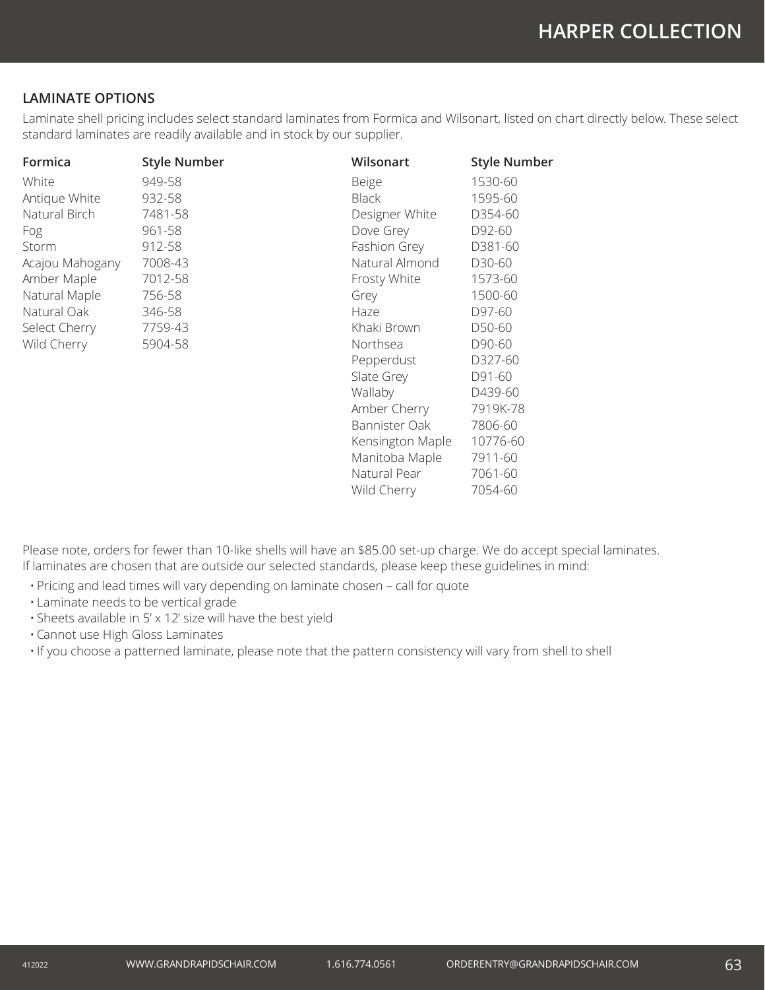# **LAMINATE OPTIONS**

Laminate shell pricing includes select standard laminates from Formica and Wilsonart, listed on chart directly below. These select standard laminates are readily available and in stock by our supplier.

| Formica         | <b>Style Number</b> | Wilsonart        | <b>Style Number</b> |
|-----------------|---------------------|------------------|---------------------|
| White           | 949-58              | Beige            | 1530-60             |
| Antique White   | 932-58              | <b>Black</b>     | 1595-60             |
| Natural Birch   | 7481-58             | Designer White   | D354-60             |
| Fog             | 961-58              | Dove Grey        | D92-60              |
| Storm           | 912-58              | Fashion Grey     | D381-60             |
| Acajou Mahogany | 7008-43             | Natural Almond   | D30-60              |
| Amber Maple     | 7012-58             | Frosty White     | 1573-60             |
| Natural Maple   | 756-58              | Grey             | 1500-60             |
| Natural Oak     | 346-58              | Haze             | D97-60              |
| Select Cherry   | 7759-43             | Khaki Brown      | D50-60              |
| Wild Cherry     | 5904-58             | Northsea         | D90-60              |
|                 |                     | Pepperdust       | D327-60             |
|                 |                     | Slate Grey       | D91-60              |
|                 |                     | Wallaby          | D439-60             |
|                 |                     | Amber Cherry     | 7919K-78            |
|                 |                     | Bannister Oak    | 7806-60             |
|                 |                     | Kensington Maple | 10776-60            |
|                 |                     | Manitoba Maple   | 7911-60             |
|                 |                     | Natural Pear     | 7061-60             |
|                 |                     | Wild Cherry      | 7054-60             |

Please note, orders for fewer than 10-like shells will have an \$85.00 set-up charge. We do accept special laminates. If laminates are chosen that are outside our selected standards, please keep these guidelines in mind:

- Pricing and lead times will vary depending on laminate chosen call for quote
- Laminate needs to be vertical grade
- Sheets available in 5' x 12' size will have the best yield
- Cannot use High Gloss Laminates

• If you choose a patterned laminate, please note that the pattern consistency will vary from shell to shell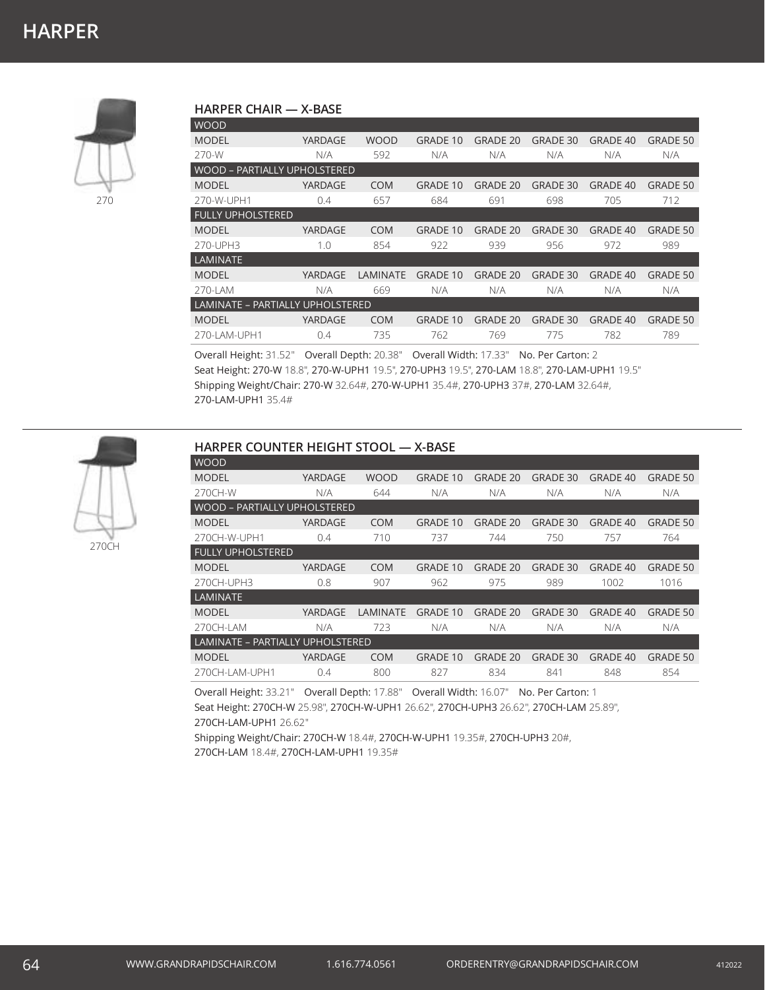# **HARPER CHAIR — X-BASE**

| GRADE 40<br><b>GRADE 50</b>         |  |  |  |  |  |  |  |  |  |
|-------------------------------------|--|--|--|--|--|--|--|--|--|
| N/A<br>N/A                          |  |  |  |  |  |  |  |  |  |
| <b>WOOD - PARTIALLY UPHOLSTERED</b> |  |  |  |  |  |  |  |  |  |
| <b>GRADE 40</b><br><b>GRADE 50</b>  |  |  |  |  |  |  |  |  |  |
| 705<br>712                          |  |  |  |  |  |  |  |  |  |
|                                     |  |  |  |  |  |  |  |  |  |
| GRADE 40<br><b>GRADE 50</b>         |  |  |  |  |  |  |  |  |  |
| 989<br>972                          |  |  |  |  |  |  |  |  |  |
|                                     |  |  |  |  |  |  |  |  |  |
| GRADE 40<br><b>GRADE 50</b>         |  |  |  |  |  |  |  |  |  |
| N/A<br>N/A                          |  |  |  |  |  |  |  |  |  |
| LAMINATE - PARTIALLY UPHOLSTERED    |  |  |  |  |  |  |  |  |  |
| <b>GRADE 50</b><br>GRADE 40         |  |  |  |  |  |  |  |  |  |
| 782<br>789                          |  |  |  |  |  |  |  |  |  |
|                                     |  |  |  |  |  |  |  |  |  |

Overall Height: 31.52" Overall Depth: 20.38" Overall Width: 17.33" No. Per Carton: 2 Seat Height: 270-W 18.8", 270-W-UPH1 19.5", 270-UPH3 19.5", 270-LAM 18.8", 270-LAM-UPH1 19.5" Shipping Weight/Chair: 270-W 32.64#, 270-W-UPH1 35.4#, 270-UPH3 37#, 270-LAM 32.64#, 270-LAM-UPH1 35.4#



270

#### **HARPER COUNTER HEIGHT STOOL — X-BASE**

| <b>WOOD</b>                         |         |             |                 |                 |                 |          |                 |  |  |
|-------------------------------------|---------|-------------|-----------------|-----------------|-----------------|----------|-----------------|--|--|
| <b>MODEL</b>                        | YARDAGE | <b>WOOD</b> | <b>GRADE 10</b> | <b>GRADE 20</b> | <b>GRADE 30</b> | GRADE 40 | <b>GRADE 50</b> |  |  |
| 270CH-W                             | N/A     | 644         | N/A             | N/A             | N/A             | N/A      | N/A             |  |  |
| <b>WOOD - PARTIALLY UPHOLSTERED</b> |         |             |                 |                 |                 |          |                 |  |  |
| <b>MODEL</b>                        | YARDAGE | <b>COM</b>  | <b>GRADE 10</b> | <b>GRADE 20</b> | GRADE 30        | GRADE 40 | <b>GRADE 50</b> |  |  |
| 270CH-W-UPH1                        | 0.4     | 710         | 737             | 744             | 750             | 757      | 764             |  |  |
| <b>FULLY UPHOLSTERED</b>            |         |             |                 |                 |                 |          |                 |  |  |
| <b>MODEL</b>                        | YARDAGE | <b>COM</b>  | <b>GRADE 10</b> | <b>GRADE 20</b> | <b>GRADE 30</b> | GRADE 40 | <b>GRADE 50</b> |  |  |
| 270CH-UPH3                          | 0.8     | 907         | 962             | 975             | 989             | 1002     | 1016            |  |  |
| <b>LAMINATE</b>                     |         |             |                 |                 |                 |          |                 |  |  |
| <b>MODEL</b>                        | YARDAGE | LAMINATE    | <b>GRADE 10</b> | <b>GRADE 20</b> | <b>GRADE 30</b> | GRADE 40 | <b>GRADE 50</b> |  |  |
| 270CH-LAM                           | N/A     | 723         | N/A             | N/A             | N/A             | N/A      | N/A             |  |  |
| LAMINATE - PARTIALLY UPHOLSTERED    |         |             |                 |                 |                 |          |                 |  |  |
| <b>MODEL</b>                        | YARDAGE | <b>COM</b>  | <b>GRADE 10</b> | <b>GRADE 20</b> | GRADE 30        | GRADE 40 | <b>GRADE 50</b> |  |  |
| 270CH-LAM-UPH1                      | 0.4     | 800         | 827             | 834             | 841             | 848      | 854             |  |  |

Overall Height: 33.21" Overall Depth: 17.88" Overall Width: 16.07" No. Per Carton: 1 Seat Height: 270CH-W 25.98", 270CH-W-UPH1 26.62", 270CH-UPH3 26.62", 270CH-LAM 25.89", 270CH-LAM-UPH1 26.62"

Shipping Weight/Chair: 270CH-W 18.4#, 270CH-W-UPH1 19.35#, 270CH-UPH3 20#, 270CH-LAM 18.4#, 270CH-LAM-UPH1 19.35#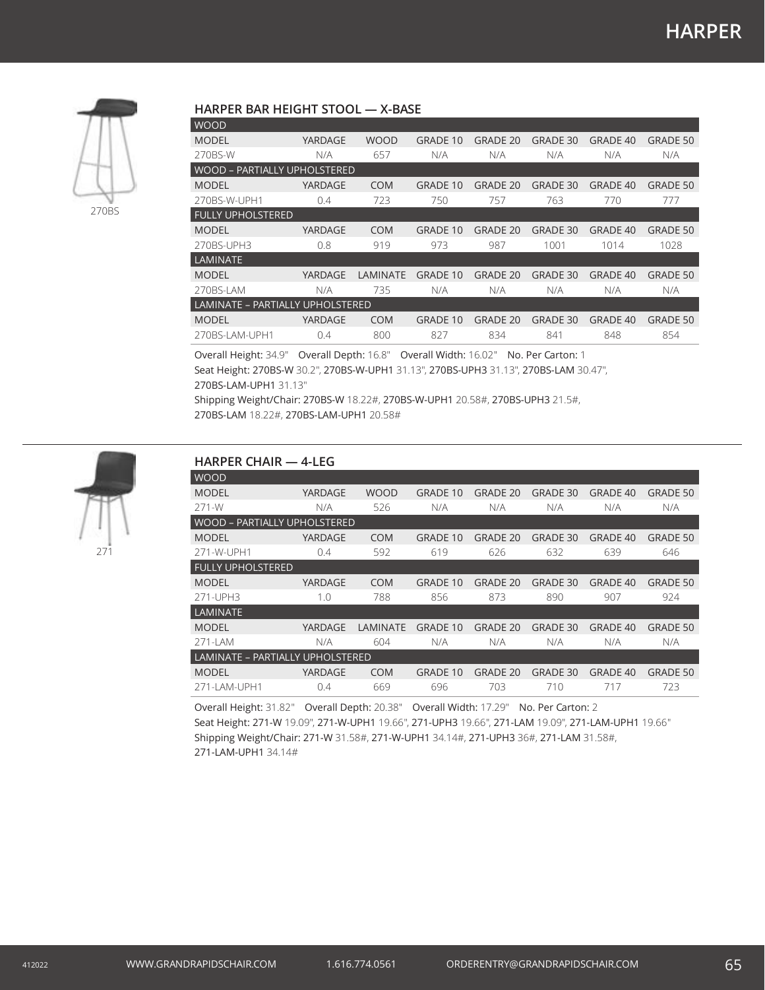

### **HARPER BAR HEIGHT STOOL — X-BASE**

| YARDAGE                             | <b>WOOD</b> | <b>GRADE 10</b> | GRADE 20        | GRADE 30        | GRADE 40 | <b>GRADE 50</b> |  |  |  |
|-------------------------------------|-------------|-----------------|-----------------|-----------------|----------|-----------------|--|--|--|
| N/A                                 | 657         | N/A             | N/A             | N/A             | N/A      | N/A             |  |  |  |
| <b>WOOD - PARTIALLY UPHOLSTERED</b> |             |                 |                 |                 |          |                 |  |  |  |
| YARDAGE                             | <b>COM</b>  | <b>GRADE 10</b> | GRADE 20        | GRADE 30        | GRADE 40 | <b>GRADE 50</b> |  |  |  |
| 0.4                                 | 723         | 750             | 757             | 763             | 770      | 777             |  |  |  |
|                                     |             |                 |                 |                 |          |                 |  |  |  |
| YARDAGE                             | <b>COM</b>  | <b>GRADE 10</b> | <b>GRADE 20</b> | <b>GRADE 30</b> | GRADE 40 | <b>GRADE 50</b> |  |  |  |
| 0.8                                 | 919         | 973             | 987             | 1001            | 1014     | 1028            |  |  |  |
|                                     |             |                 |                 |                 |          |                 |  |  |  |
| YARDAGE                             | LAMINATE    | GRADE 10        | <b>GRADE 20</b> | GRADE 30        | GRADE 40 | <b>GRADE 50</b> |  |  |  |
| N/A                                 | 735         | N/A             | N/A             | N/A             | N/A      | N/A             |  |  |  |
| LAMINATE - PARTIALLY UPHOLSTERED    |             |                 |                 |                 |          |                 |  |  |  |
| <b>YARDAGE</b>                      | <b>COM</b>  | <b>GRADE 10</b> | <b>GRADE 20</b> | <b>GRADE 30</b> | GRADE 40 | <b>GRADE 50</b> |  |  |  |
| 0.4                                 | 800         | 827             | 834             | 841             | 848      | 854             |  |  |  |
|                                     |             |                 |                 |                 |          |                 |  |  |  |

Overall Height: 34.9" Overall Depth: 16.8" Overall Width: 16.02" No. Per Carton: 1 Seat Height: 270BS-W 30.2", 270BS-W-UPH1 31.13", 270BS-UPH3 31.13", 270BS-LAM 30.47", 270BS-LAM-UPH1 31.13"

Shipping Weight/Chair: 270BS-W 18.22#, 270BS-W-UPH1 20.58#, 270BS-UPH3 21.5#, 270BS-LAM 18.22#, 270BS-LAM-UPH1 20.58#



# **HARPER CHAIR — 4-LEG** WOOD

| <b>MODEL</b>                     | YARDAGE | <b>WOOD</b> | <b>GRADE 10</b> | <b>GRADE 20</b> | <b>GRADE 30</b> | <b>GRADE 40</b> | <b>GRADE 50</b> |  |  |  |
|----------------------------------|---------|-------------|-----------------|-----------------|-----------------|-----------------|-----------------|--|--|--|
| 271-W                            | N/A     | 526         | N/A             | N/A             | N/A             | N/A             | N/A             |  |  |  |
| WOOD – PARTIALLY UPHOLSTERED     |         |             |                 |                 |                 |                 |                 |  |  |  |
| <b>MODEL</b>                     | YARDAGE | <b>COM</b>  | <b>GRADE 10</b> | <b>GRADE 20</b> | <b>GRADE 30</b> | <b>GRADE 40</b> | <b>GRADE 50</b> |  |  |  |
| 271-W-UPH1                       | 0.4     | 592         | 619             | 626             | 632             | 639             | 646             |  |  |  |
| <b>FULLY UPHOLSTERED</b>         |         |             |                 |                 |                 |                 |                 |  |  |  |
| <b>MODEL</b>                     | YARDAGE | <b>COM</b>  | <b>GRADE 10</b> | <b>GRADE 20</b> | <b>GRADE 30</b> | <b>GRADE 40</b> | <b>GRADE 50</b> |  |  |  |
| 271-UPH3                         | 1.0     | 788         | 856             | 873             | 890             | 907             | 924             |  |  |  |
| LAMINATE                         |         |             |                 |                 |                 |                 |                 |  |  |  |
| <b>MODEL</b>                     | YARDAGE | LAMINATE    | <b>GRADE 10</b> | <b>GRADE 20</b> | <b>GRADE 30</b> | <b>GRADE 40</b> | <b>GRADE 50</b> |  |  |  |
| 271-LAM                          | N/A     | 604         | N/A             | N/A             | N/A             | N/A             | N/A             |  |  |  |
| LAMINATE – PARTIALLY UPHOLSTERED |         |             |                 |                 |                 |                 |                 |  |  |  |
| <b>MODEL</b>                     | YARDAGE | <b>COM</b>  | <b>GRADE 10</b> | <b>GRADE 20</b> | <b>GRADE 30</b> | <b>GRADE 40</b> | <b>GRADE 50</b> |  |  |  |
| 271-I AM-UPH1                    | 0.4     | 669         | 696             | 703             | 710             | 717             | 723             |  |  |  |

Overall Height: 31.82" Overall Depth: 20.38" Overall Width: 17.29" No. Per Carton: 2 Seat Height: 271-W 19.09", 271-W-UPH1 19.66", 271-UPH3 19.66", 271-LAM 19.09", 271-LAM-UPH1 19.66" Shipping Weight/Chair: 271-W 31.58#, 271-W-UPH1 34.14#, 271-UPH3 36#, 271-LAM 31.58#, 271-LAM-UPH1 34.14#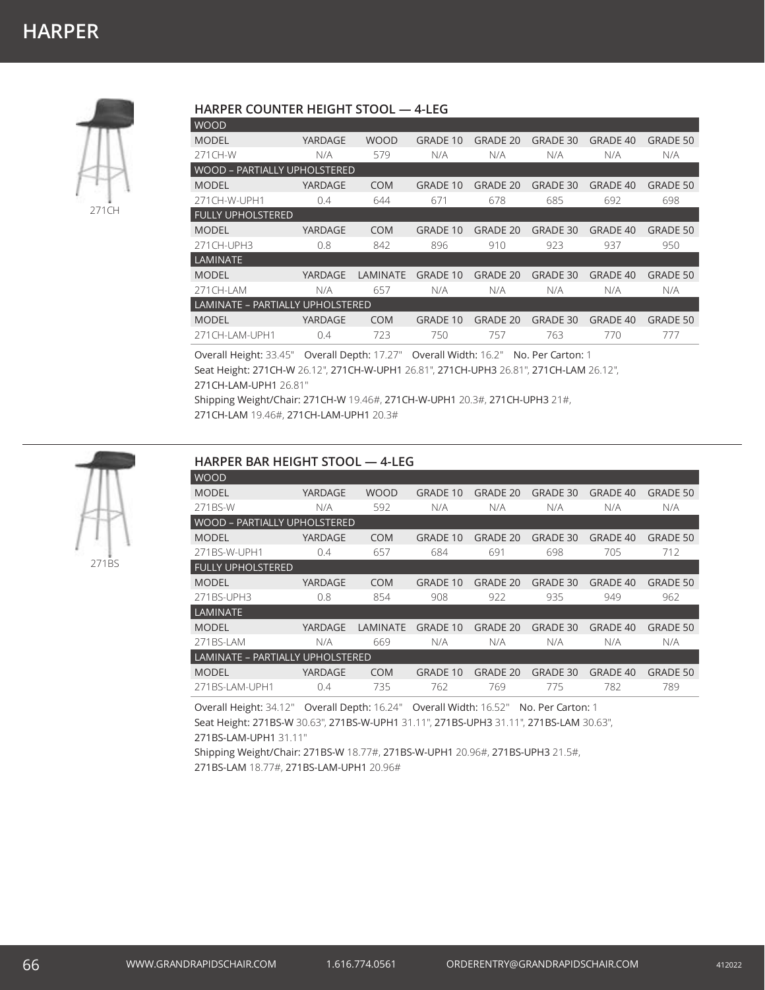

#### **HARPER COUNTER HEIGHT STOOL — 4-LEG**

| WOOD                             |         |             |                 |                 |                 |                 |                 |  |  |  |
|----------------------------------|---------|-------------|-----------------|-----------------|-----------------|-----------------|-----------------|--|--|--|
| <b>MODEL</b>                     | YARDAGE | <b>WOOD</b> | <b>GRADE 10</b> | GRADE 20        | GRADE 30        | GRADE 40        | <b>GRADE 50</b> |  |  |  |
| 271CH-W                          | N/A     | 579         | N/A             | N/A             | N/A             | N/A             | N/A             |  |  |  |
| WOOD – PARTIALLY UPHOLSTERED     |         |             |                 |                 |                 |                 |                 |  |  |  |
| <b>MODEL</b>                     | YARDAGE | <b>COM</b>  | <b>GRADE 10</b> | <b>GRADE 20</b> | <b>GRADE 30</b> | GRADE 40        | <b>GRADE 50</b> |  |  |  |
| 271 CH-W-UPH1                    | 0.4     | 644         | 671             | 678             | 685             | 692             | 698             |  |  |  |
| <b>FULLY UPHOLSTERED</b>         |         |             |                 |                 |                 |                 |                 |  |  |  |
| <b>MODEL</b>                     | YARDAGE | <b>COM</b>  | <b>GRADE 10</b> | <b>GRADE 20</b> | <b>GRADE 30</b> | <b>GRADE 40</b> | <b>GRADE 50</b> |  |  |  |
| 271 CH-UPH3                      | 0.8     | 842         | 896             | 910             | 923             | 937             | 950             |  |  |  |
| <b>LAMINATE</b>                  |         |             |                 |                 |                 |                 |                 |  |  |  |
| <b>MODEL</b>                     | YARDAGE | LAMINATE    | <b>GRADE 10</b> | GRADE 20        | <b>GRADE 30</b> | GRADE 40        | <b>GRADE 50</b> |  |  |  |
| 271 CH-I AM                      | N/A     | 657         | N/A             | N/A             | N/A             | N/A             | N/A             |  |  |  |
| LAMINATE - PARTIALLY UPHOLSTERED |         |             |                 |                 |                 |                 |                 |  |  |  |
| <b>MODEL</b>                     | YARDAGE | <b>COM</b>  | <b>GRADE 10</b> | GRADE 20        | <b>GRADE 30</b> | GRADE 40        | <b>GRADE 50</b> |  |  |  |
| 271CH-LAM-UPH1                   | 0.4     | 723         | 750             | 757             | 763             | 770             | 777             |  |  |  |
|                                  |         |             |                 |                 |                 |                 |                 |  |  |  |

Overall Height: 33.45" Overall Depth: 17.27" Overall Width: 16.2" No. Per Carton: 1 Seat Height: 271CH-W 26.12", 271CH-W-UPH1 26.81", 271CH-UPH3 26.81", 271CH-LAM 26.12", 271CH-LAM-UPH1 26.81"

Shipping Weight/Chair: 271CH-W 19.46#, 271CH-W-UPH1 20.3#, 271CH-UPH3 21#, 271CH-LAM 19.46#, 271CH-LAM-UPH1 20.3#



#### **HARPER BAR HEIGHT STOOL — 4-LEG**

| <b>WOOD</b>              |                                     |                 |                 |                 |                 |                 |                 |  |  |  |
|--------------------------|-------------------------------------|-----------------|-----------------|-----------------|-----------------|-----------------|-----------------|--|--|--|
| <b>MODEL</b>             | YARDAGE                             | <b>WOOD</b>     | <b>GRADE 10</b> | <b>GRADE 20</b> | <b>GRADE 30</b> | GRADE 40        | <b>GRADE 50</b> |  |  |  |
| 271BS-W                  | N/A                                 | 592             | N/A             | N/A             | N/A             | N/A             | N/A             |  |  |  |
|                          | <b>WOOD - PARTIALLY UPHOLSTERED</b> |                 |                 |                 |                 |                 |                 |  |  |  |
| <b>MODEL</b>             | YARDAGE                             | <b>COM</b>      | <b>GRADE 10</b> | GRADE 20        | GRADE 30        | GRADE 40        | GRADE 50        |  |  |  |
| 271BS-W-UPH1             | 0.4                                 | 657             | 684             | 691             | 698             | 705             | 712             |  |  |  |
| <b>FULLY UPHOLSTERED</b> |                                     |                 |                 |                 |                 |                 |                 |  |  |  |
| <b>MODEL</b>             | YARDAGE                             | <b>COM</b>      | <b>GRADE 10</b> | <b>GRADE 20</b> | <b>GRADE 30</b> | GRADE 40        | <b>GRADE 50</b> |  |  |  |
| 271BS-UPH3               | 0.8                                 | 854             | 908             | 922             | 935             | 949             | 962             |  |  |  |
| LAMINATE                 |                                     |                 |                 |                 |                 |                 |                 |  |  |  |
| <b>MODEL</b>             | YARDAGE                             | <b>LAMINATE</b> | <b>GRADE 10</b> | <b>GRADE 20</b> | <b>GRADE 30</b> | <b>GRADE 40</b> | <b>GRADE 50</b> |  |  |  |
| 271BS-LAM                | N/A                                 | 669             | N/A             | N/A             | N/A             | N/A             | N/A             |  |  |  |
|                          | LAMINATE - PARTIALLY UPHOLSTERED    |                 |                 |                 |                 |                 |                 |  |  |  |
| <b>MODEL</b>             | <b>YARDAGE</b>                      | <b>COM</b>      | <b>GRADE 10</b> | <b>GRADE 20</b> | <b>GRADE 30</b> | GRADE 40        | <b>GRADE 50</b> |  |  |  |
| 271BS-LAM-UPH1           | 0.4                                 | 735             | 762             | 769             | 775             | 782             | 789             |  |  |  |

Overall Height: 34.12" Overall Depth: 16.24" Overall Width: 16.52" No. Per Carton: 1 Seat Height: 271BS-W 30.63", 271BS-W-UPH1 31.11", 271BS-UPH3 31.11", 271BS-LAM 30.63", 271BS-LAM-UPH1 31.11"

Shipping Weight/Chair: 271BS-W 18.77#, 271BS-W-UPH1 20.96#, 271BS-UPH3 21.5#, 271BS-LAM 18.77#, 271BS-LAM-UPH1 20.96#